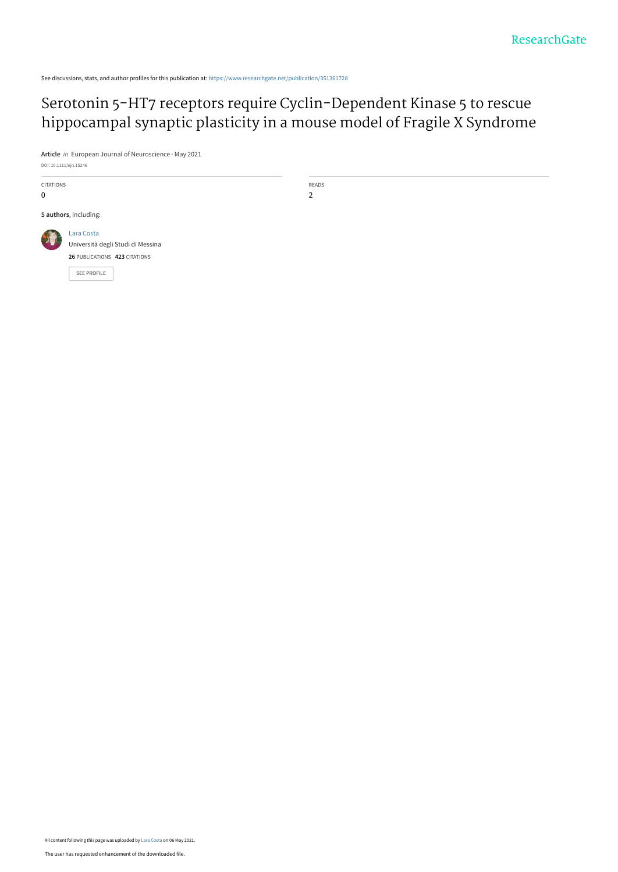See discussions, stats, and author profiles for this publication at: [https://www.researchgate.net/publication/351361728](https://www.researchgate.net/publication/351361728_Serotonin_5-HT7_receptors_require_Cyclin-Dependent_Kinase_5_to_rescue_hippocampal_synaptic_plasticity_in_a_mouse_model_of_Fragile_X_Syndrome?enrichId=rgreq-24831310f4fa32e9e9b51201667d1222-XXX&enrichSource=Y292ZXJQYWdlOzM1MTM2MTcyODtBUzoxMDIwNTc1NTE4NTc2NjQwQDE2MjAzMzU1NzM3NDE%3D&el=1_x_2&_esc=publicationCoverPdf)

## Serotonin 5-HT7 receptors require Cyclin-Dependent Kinase 5 to rescue [hippocampal synaptic plasticity in a mouse model of Fragile X Syndrome](https://www.researchgate.net/publication/351361728_Serotonin_5-HT7_receptors_require_Cyclin-Dependent_Kinase_5_to_rescue_hippocampal_synaptic_plasticity_in_a_mouse_model_of_Fragile_X_Syndrome?enrichId=rgreq-24831310f4fa32e9e9b51201667d1222-XXX&enrichSource=Y292ZXJQYWdlOzM1MTM2MTcyODtBUzoxMDIwNTc1NTE4NTc2NjQwQDE2MjAzMzU1NzM3NDE%3D&el=1_x_3&_esc=publicationCoverPdf)

**Article** in European Journal of Neuroscience · May 2021

DOI: 10.1111/ejn.15246

| <b>CITATIONS</b><br>0 |                                                                                                        | READS<br>2 |
|-----------------------|--------------------------------------------------------------------------------------------------------|------------|
| 5 authors, including: |                                                                                                        |            |
|                       | Lara Costa<br>Università degli Studi di Messina<br>26 PUBLICATIONS 423 CITATIONS<br><b>SEE PROFILE</b> |            |

All content following this page was uploaded by [Lara Costa](https://www.researchgate.net/profile/Lara-Costa-2?enrichId=rgreq-24831310f4fa32e9e9b51201667d1222-XXX&enrichSource=Y292ZXJQYWdlOzM1MTM2MTcyODtBUzoxMDIwNTc1NTE4NTc2NjQwQDE2MjAzMzU1NzM3NDE%3D&el=1_x_10&_esc=publicationCoverPdf) on 06 May 2021.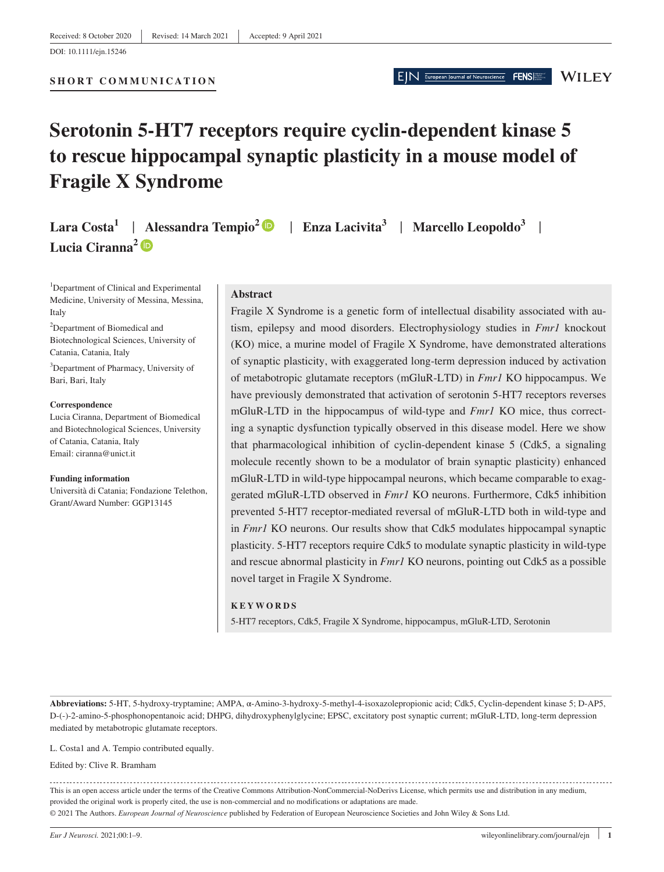EIN European Journal of Neuroscience

**WILEY** 

# **Serotonin 5-HT7 receptors require cyclin-dependent kinase 5 to rescue hippocampal synaptic plasticity in a mouse model of Fragile X Syndrome**

**Lara Costa1** | **Alessandra Tempio<sup>2</sup>** | **Enza Lacivita<sup>3</sup>** | **Marcello Leopoldo3** | **Lucia Ciranna<sup>2</sup>**

<sup>1</sup>Department of Clinical and Experimental Medicine, University of Messina, Messina, Italy

<sup>2</sup>Department of Biomedical and Biotechnological Sciences, University of Catania, Catania, Italy

3 Department of Pharmacy, University of Bari, Bari, Italy

**Correspondence**

Lucia Ciranna, Department of Biomedical and Biotechnological Sciences, University of Catania, Catania, Italy Email: [ciranna@unict.it](mailto:ciranna@unict.it)

**Funding information** Università di Catania; Fondazione Telethon, Grant/Award Number: GGP13145

#### **Abstract**

Fragile X Syndrome is a genetic form of intellectual disability associated with autism, epilepsy and mood disorders. Electrophysiology studies in *Fmr1* knockout (KO) mice, a murine model of Fragile X Syndrome, have demonstrated alterations of synaptic plasticity, with exaggerated long-term depression induced by activation of metabotropic glutamate receptors (mGluR-LTD) in *Fmr1* KO hippocampus. We have previously demonstrated that activation of serotonin 5-HT7 receptors reverses mGluR-LTD in the hippocampus of wild-type and *Fmr1* KO mice, thus correcting a synaptic dysfunction typically observed in this disease model. Here we show that pharmacological inhibition of cyclin-dependent kinase 5 (Cdk5, a signaling molecule recently shown to be a modulator of brain synaptic plasticity) enhanced mGluR-LTD in wild-type hippocampal neurons, which became comparable to exaggerated mGluR-LTD observed in *Fmr1* KO neurons. Furthermore, Cdk5 inhibition prevented 5-HT7 receptor-mediated reversal of mGluR-LTD both in wild-type and in *Fmr1* KO neurons. Our results show that Cdk5 modulates hippocampal synaptic plasticity. 5-HT7 receptors require Cdk5 to modulate synaptic plasticity in wild-type and rescue abnormal plasticity in *Fmr1* KO neurons, pointing out Cdk5 as a possible novel target in Fragile X Syndrome.

#### **KEYWORDS**

5-HT7 receptors, Cdk5, Fragile X Syndrome, hippocampus, mGluR-LTD, Serotonin

**Abbreviations:** 5-HT, 5-hydroxy-tryptamine; AMPA, α-Amino-3-hydroxy-5-methyl-4-isoxazolepropionic acid; Cdk5, Cyclin-dependent kinase 5; D-AP5, D-(-)-2-amino-5-phosphonopentanoic acid; DHPG, dihydroxyphenylglycine; EPSC, excitatory post synaptic current; mGluR-LTD, long-term depression mediated by metabotropic glutamate receptors.

L. Costa1 and A. Tempio contributed equally.

Edited by: Clive R. Bramham

This is an open access article under the terms of the [Creative Commons Attribution-NonCommercial-NoDerivs](http://creativecommons.org/licenses/by-nc-nd/4.0/) License, which permits use and distribution in any medium, provided the original work is properly cited, the use is non-commercial and no modifications or adaptations are made. © 2021 The Authors. *European Journal of Neuroscience* published by Federation of European Neuroscience Societies and John Wiley & Sons Ltd.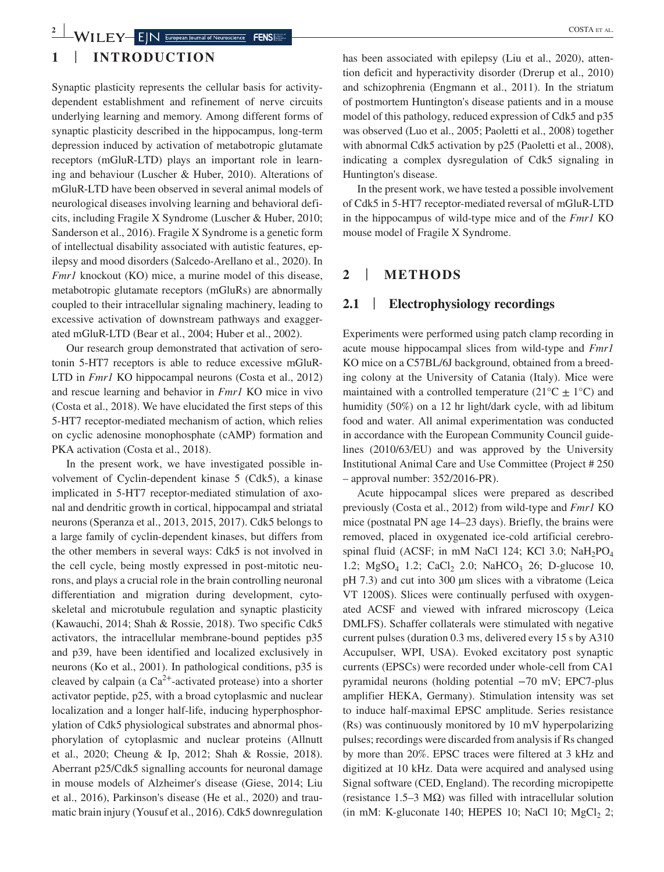## **2 2 EX EX EX EX EX EXPL EXPL EXPL EXPL EXPL EXPL EXPL EXPL EXPL EXPL EXPL EXPL EXPL EXPL EXPL EXPL EXPL EXPL EXPL EXPL EXPL EXPL EXPL EXPL EXPL EXPL EXPL**

## **1** | **INTRODUCTION**

Synaptic plasticity represents the cellular basis for activitydependent establishment and refinement of nerve circuits underlying learning and memory. Among different forms of synaptic plasticity described in the hippocampus, long-term depression induced by activation of metabotropic glutamate receptors (mGluR-LTD) plays an important role in learning and behaviour (Luscher & Huber, 2010). Alterations of mGluR-LTD have been observed in several animal models of neurological diseases involving learning and behavioral deficits, including Fragile X Syndrome (Luscher & Huber, 2010; Sanderson et al., 2016). Fragile X Syndrome is a genetic form of intellectual disability associated with autistic features, epilepsy and mood disorders (Salcedo-Arellano et al., 2020). In *Fmr1* knockout (KO) mice, a murine model of this disease, metabotropic glutamate receptors (mGluRs) are abnormally coupled to their intracellular signaling machinery, leading to excessive activation of downstream pathways and exaggerated mGluR-LTD (Bear et al., 2004; Huber et al., 2002).

Our research group demonstrated that activation of serotonin 5-HT7 receptors is able to reduce excessive mGluR-LTD in *Fmr1* KO hippocampal neurons (Costa et al., 2012) and rescue learning and behavior in *Fmr1* KO mice in vivo (Costa et al., 2018). We have elucidated the first steps of this 5-HT7 receptor-mediated mechanism of action, which relies on cyclic adenosine monophosphate (cAMP) formation and PKA activation (Costa et al., 2018).

In the present work, we have investigated possible involvement of Cyclin-dependent kinase 5 (Cdk5), a kinase implicated in 5-HT7 receptor-mediated stimulation of axonal and dendritic growth in cortical, hippocampal and striatal neurons (Speranza et al., 2013, 2015, 2017). Cdk5 belongs to a large family of cyclin-dependent kinases, but differs from the other members in several ways: Cdk5 is not involved in the cell cycle, being mostly expressed in post-mitotic neurons, and plays a crucial role in the brain controlling neuronal differentiation and migration during development, cytoskeletal and microtubule regulation and synaptic plasticity (Kawauchi, 2014; Shah & Rossie, 2018). Two specific Cdk5 activators, the intracellular membrane-bound peptides p35 and p39, have been identified and localized exclusively in neurons (Ko et al., 2001). In pathological conditions, p35 is cleaved by calpain (a  $Ca^{2+}$ -activated protease) into a shorter activator peptide, p25, with a broad cytoplasmic and nuclear localization and a longer half-life, inducing hyperphosphorylation of Cdk5 physiological substrates and abnormal phosphorylation of cytoplasmic and nuclear proteins (Allnutt et al., 2020; Cheung & Ip, 2012; Shah & Rossie, 2018). Aberrant p25/Cdk5 signalling accounts for neuronal damage in mouse models of Alzheimer's disease (Giese, 2014; Liu et al., 2016), Parkinson's disease (He et al., 2020) and traumatic brain injury (Yousuf et al., 2016). Cdk5 downregulation

has been associated with epilepsy (Liu et al., 2020), attention deficit and hyperactivity disorder (Drerup et al., 2010) and schizophrenia (Engmann et al., 2011). In the striatum of postmortem Huntington's disease patients and in a mouse model of this pathology, reduced expression of Cdk5 and p35 was observed (Luo et al., 2005; Paoletti et al., 2008) together with abnormal Cdk5 activation by p25 (Paoletti et al., 2008), indicating a complex dysregulation of Cdk5 signaling in Huntington's disease.

In the present work, we have tested a possible involvement of Cdk5 in 5-HT7 receptor-mediated reversal of mGluR-LTD in the hippocampus of wild-type mice and of the *Fmr1* KO mouse model of Fragile X Syndrome.

## **2** | **METHODS**

## **2.1** | **Electrophysiology recordings**

Experiments were performed using patch clamp recording in acute mouse hippocampal slices from wild-type and *Fmr1* KO mice on a C57BL/6J background, obtained from a breeding colony at the University of Catania (Italy). Mice were maintained with a controlled temperature ( $21^{\circ}C \pm 1^{\circ}C$ ) and humidity (50%) on a 12 hr light/dark cycle, with ad libitum food and water. All animal experimentation was conducted in accordance with the European Community Council guidelines (2010/63/EU) and was approved by the University Institutional Animal Care and Use Committee (Project # 250 – approval number: 352/2016-PR).

Acute hippocampal slices were prepared as described previously (Costa et al., 2012) from wild-type and *Fmr1* KO mice (postnatal PN age 14–23 days). Briefly, the brains were removed, placed in oxygenated ice-cold artificial cerebrospinal fluid (ACSF; in mM NaCl 124; KCl 3.0; NaH<sub>2</sub>PO<sub>4</sub> 1.2;  $MgSO<sub>4</sub>$  1.2; CaCl<sub>2</sub> 2.0; NaHCO<sub>3</sub> 26; D-glucose 10, pH 7.3) and cut into 300 µm slices with a vibratome (Leica VT 1200S). Slices were continually perfused with oxygenated ACSF and viewed with infrared microscopy (Leica DMLFS). Schaffer collaterals were stimulated with negative current pulses (duration 0.3 ms, delivered every 15 s by A310 Accupulser, WPI, USA). Evoked excitatory post synaptic currents (EPSCs) were recorded under whole-cell from CA1 pyramidal neurons (holding potential −70 mV; EPC7-plus amplifier HEKA, Germany). Stimulation intensity was set to induce half-maximal EPSC amplitude. Series resistance (Rs) was continuously monitored by 10 mV hyperpolarizing pulses; recordings were discarded from analysis if Rs changed by more than 20%. EPSC traces were filtered at 3 kHz and digitized at 10 kHz. Data were acquired and analysed using Signal software (CED, England). The recording micropipette (resistance 1.5–3 M $\Omega$ ) was filled with intracellular solution (in mM: K-gluconate 140; HEPES 10; NaCl 10;  $MgCl<sub>2</sub>$  2;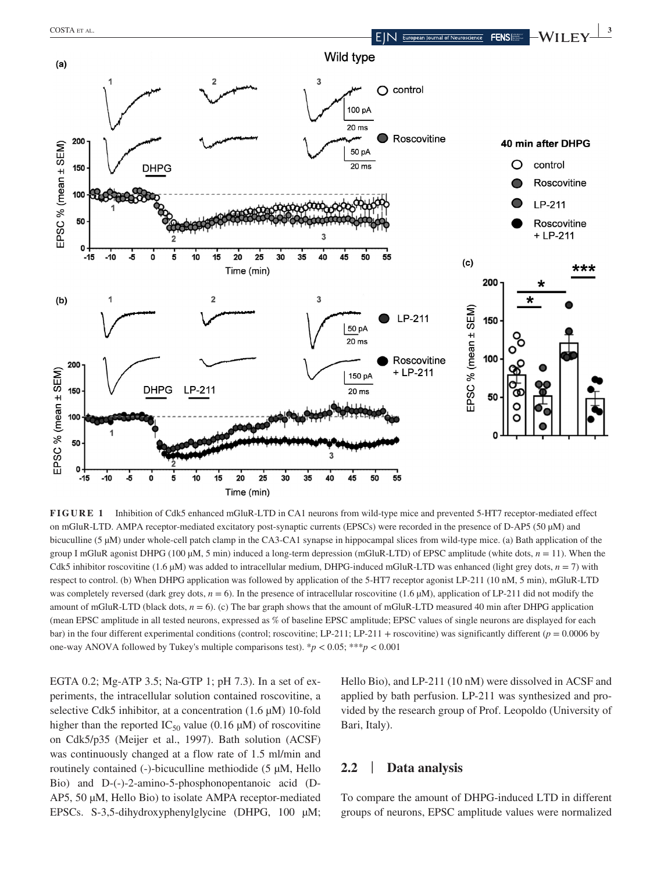0

 $-15$ 

 $-10$ -5



**FIGURE 1** Inhibition of Cdk5 enhanced mGluR-LTD in CA1 neurons from wild-type mice and prevented 5-HT7 receptor-mediated effect on mGluR-LTD. AMPA receptor-mediated excitatory post-synaptic currents (EPSCs) were recorded in the presence of D-AP5 (50 µM) and bicuculline (5 µM) under whole-cell patch clamp in the CA3-CA1 synapse in hippocampal slices from wild-type mice. (a) Bath application of the group I mGluR agonist DHPG (100  $\mu$ M, 5 min) induced a long-term depression (mGluR-LTD) of EPSC amplitude (white dots,  $n = 11$ ). When the Cdk5 inhibitor roscovitine (1.6  $\mu$ M) was added to intracellular medium, DHPG-induced mGluR-LTD was enhanced (light grey dots, *n* = 7) with respect to control. (b) When DHPG application was followed by application of the 5-HT7 receptor agonist LP-211 (10 nM, 5 min), mGluR-LTD was completely reversed (dark grey dots,  $n = 6$ ). In the presence of intracellular roscovitine (1.6  $\mu$ M), application of LP-211 did not modify the amount of mGluR-LTD (black dots,  $n = 6$ ). (c) The bar graph shows that the amount of mGluR-LTD measured 40 min after DHPG application (mean EPSC amplitude in all tested neurons, expressed as % of baseline EPSC amplitude; EPSC values of single neurons are displayed for each bar) in the four different experimental conditions (control; roscovitine; LP-211; LP-211 + roscovitine) was significantly different ( $p = 0.0006$  by one-way ANOVA followed by Tukey's multiple comparisons test). \**p* < 0.05; \*\*\**p* < 0.001

40 45

EGTA 0.2; Mg-ATP 3.5; Na-GTP 1; pH 7.3). In a set of experiments, the intracellular solution contained roscovitine, a selective Cdk5 inhibitor, at a concentration (1.6  $\mu$ M) 10-fold higher than the reported  $IC_{50}$  value (0.16 µM) of roscovitine on Cdk5/p35 (Meijer et al., 1997). Bath solution (ACSF) was continuously changed at a flow rate of 1.5 ml/min and routinely contained (-)-bicuculline methiodide (5 µM, Hello Bio) and D-(-)-2-amino-5-phosphonopentanoic acid (D-AP5, 50 µM, Hello Bio) to isolate AMPA receptor-mediated EPSCs. S-3,5-dihydroxyphenylglycine (DHPG, 100 µM;

 $10$ 

15

 $\mathbf{0}$ 

5

 $\overline{20}$ 

Time (min)

 $25$ 

30 35

> Hello Bio), and LP-211 (10 nM) were dissolved in ACSF and applied by bath perfusion. LP-211 was synthesized and provided by the research group of Prof. Leopoldo (University of Bari, Italy).

### **2.2** | **Data analysis**

55

50

To compare the amount of DHPG-induced LTD in different groups of neurons, EPSC amplitude values were normalized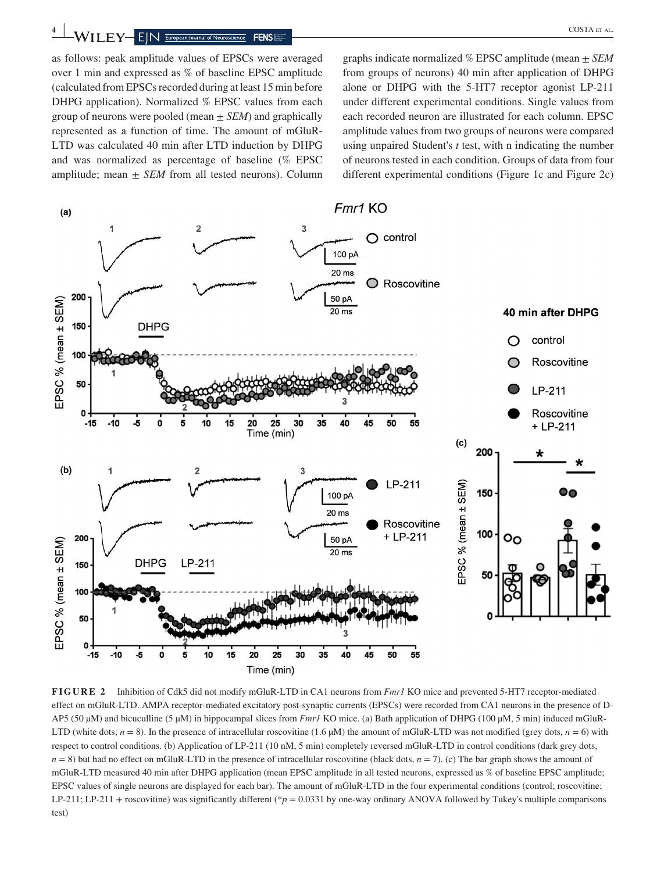**4 WILEY** EIN European Journal of Neuroscience **FENS** 

as follows: peak amplitude values of EPSCs were averaged over 1 min and expressed as % of baseline EPSC amplitude (calculated from EPSCs recorded during at least 15 min before DHPG application). Normalized % EPSC values from each group of neurons were pooled (mean ± *SEM*) and graphically represented as a function of time. The amount of mGluR-LTD was calculated 40 min after LTD induction by DHPG and was normalized as percentage of baseline (% EPSC amplitude; mean  $\pm$  *SEM* from all tested neurons). Column

graphs indicate normalized % EPSC amplitude (mean ± *SEM* from groups of neurons) 40 min after application of DHPG alone or DHPG with the 5-HT7 receptor agonist LP-211 under different experimental conditions. Single values from each recorded neuron are illustrated for each column. EPSC amplitude values from two groups of neurons were compared using unpaired Student's *t* test, with n indicating the number of neurons tested in each condition. Groups of data from four different experimental conditions (Figure 1c and Figure 2c)



**FIGURE 2** Inhibition of Cdk5 did not modify mGluR-LTD in CA1 neurons from *Fmr1* KO mice and prevented 5-HT7 receptor-mediated effect on mGluR-LTD. AMPA receptor-mediated excitatory post-synaptic currents (EPSCs) were recorded from CA1 neurons in the presence of D-AP5 (50 μM) and bicuculline (5 μM) in hippocampal slices from *Fmr1* KO mice. (a) Bath application of DHPG (100 μM, 5 min) induced mGluR-LTD (white dots;  $n = 8$ ). In the presence of intracellular roscovitine (1.6  $\mu$ M) the amount of mGluR-LTD was not modified (grey dots,  $n = 6$ ) with respect to control conditions. (b) Application of LP-211 (10 nM, 5 min) completely reversed mGluR-LTD in control conditions (dark grey dots,  $n = 8$ ) but had no effect on mGluR-LTD in the presence of intracellular roscovitine (black dots,  $n = 7$ ). (c) The bar graph shows the amount of mGluR-LTD measured 40 min after DHPG application (mean EPSC amplitude in all tested neurons, expressed as % of baseline EPSC amplitude; EPSC values of single neurons are displayed for each bar). The amount of mGluR-LTD in the four experimental conditions (control; roscovitine; LP-211; LP-211 + roscovitine) was significantly different (\**p* = 0.0331 by one-way ordinary ANOVA followed by Tukey's multiple comparisons test)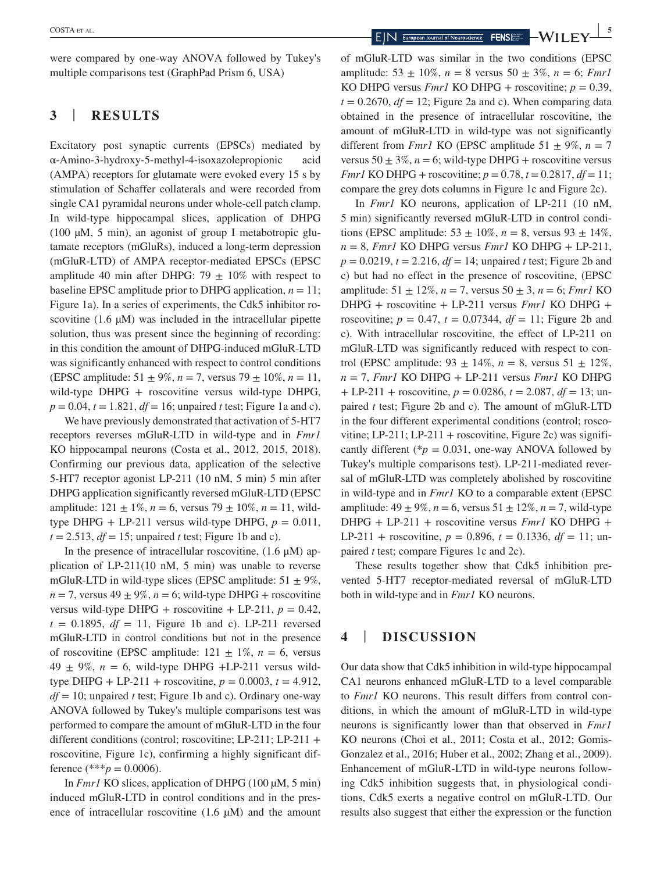were compared by one-way ANOVA followed by Tukey's multiple comparisons test (GraphPad Prism 6, USA)

## **3** | **RESULTS**

Excitatory post synaptic currents (EPSCs) mediated by α-Amino-3-hydroxy-5-methyl-4-isoxazolepropionic acid (AMPA) receptors for glutamate were evoked every 15 s by stimulation of Schaffer collaterals and were recorded from single CA1 pyramidal neurons under whole-cell patch clamp. In wild-type hippocampal slices, application of DHPG (100  $\mu$ M, 5 min), an agonist of group I metabotropic glutamate receptors (mGluRs), induced a long-term depression (mGluR-LTD) of AMPA receptor-mediated EPSCs (EPSC amplitude 40 min after DHPG: 79  $\pm$  10% with respect to baseline EPSC amplitude prior to DHPG application,  $n = 11$ ; Figure 1a). In a series of experiments, the Cdk5 inhibitor roscovitine (1.6  $\mu$ M) was included in the intracellular pipette solution, thus was present since the beginning of recording: in this condition the amount of DHPG-induced mGluR-LTD was significantly enhanced with respect to control conditions (EPSC amplitude:  $51 \pm 9\%, n = 7$ , versus  $79 \pm 10\%, n = 11$ , wild-type DHPG + roscovitine versus wild-type DHPG,  $p = 0.04$ ,  $t = 1.821$ ,  $df = 16$ ; unpaired *t* test; Figure 1a and c).

We have previously demonstrated that activation of 5-HT7 receptors reverses mGluR-LTD in wild-type and in *Fmr1* KO hippocampal neurons (Costa et al., 2012, 2015, 2018). Confirming our previous data, application of the selective 5-HT7 receptor agonist LP-211 (10 nM, 5 min) 5 min after DHPG application significantly reversed mGluR-LTD (EPSC amplitude:  $121 \pm 1\%$ ,  $n = 6$ , versus  $79 \pm 10\%$ ,  $n = 11$ , wildtype DHPG + LP-211 versus wild-type DHPG,  $p = 0.011$ ,  $t = 2.513$ ,  $df = 15$ ; unpaired *t* test; Figure 1b and c).

In the presence of intracellular roscovitine,  $(1.6 \mu M)$  application of  $LP-211(10 \text{ nM}, 5 \text{ min})$  was unable to reverse mGluR-LTD in wild-type slices (EPSC amplitude:  $51 \pm 9\%$ ,  $n = 7$ , versus 49  $\pm$  9%,  $n = 6$ ; wild-type DHPG + roscovitine versus wild-type DHPG + roscovitine + LP-211,  $p = 0.42$ ,  $t = 0.1895$ ,  $df = 11$ , Figure 1b and c). LP-211 reversed mGluR-LTD in control conditions but not in the presence of roscovitine (EPSC amplitude:  $121 \pm 1\%$ ,  $n = 6$ , versus  $49 \pm 9\%$ ,  $n = 6$ , wild-type DHPG +LP-211 versus wildtype DHPG + LP-211 + roscovitine,  $p = 0.0003$ ,  $t = 4.912$ , *df* = 10; unpaired *t* test; Figure 1b and c). Ordinary one-way ANOVA followed by Tukey's multiple comparisons test was performed to compare the amount of mGluR-LTD in the four different conditions (control; roscovitine; LP-211; LP-211 + roscovitine, Figure 1c), confirming a highly significant difference (\*\*\**p* = 0.0006).

In *Fmr1* KO slices, application of DHPG (100  $\mu$ M, 5 min) induced mGluR-LTD in control conditions and in the presence of intracellular roscovitine  $(1.6 \mu M)$  and the amount

of mGluR-LTD was similar in the two conditions (EPSC amplitude:  $53 \pm 10\%$ ,  $n = 8$  versus  $50 \pm 3\%$ ,  $n = 6$ ; *Fmr1* KO DHPG versus *Fmr1* KO DHPG + roscovitine;  $p = 0.39$ ,  $t = 0.2670$ ,  $df = 12$ ; Figure 2a and c). When comparing data obtained in the presence of intracellular roscovitine, the amount of mGluR-LTD in wild-type was not significantly different from *Fmr1* KO (EPSC amplitude 51  $\pm$  9%, *n* = 7 versus  $50 \pm 3\%$ ,  $n = 6$ ; wild-type DHPG + roscovitine versus *Fmr1* KO DHPG + roscovitine;  $p = 0.78$ ,  $t = 0.2817$ ,  $df = 11$ ; compare the grey dots columns in Figure 1c and Figure 2c).

In *Fmr1* KO neurons, application of LP-211 (10 nM, 5 min) significantly reversed mGluR-LTD in control conditions (EPSC amplitude:  $53 \pm 10\%$ ,  $n = 8$ , versus  $93 \pm 14\%$ ,  $n = 8$ , *Fmr1* KO DHPG versus *Fmr1* KO DHPG + LP-211,  $p = 0.0219$ ,  $t = 2.216$ ,  $df = 14$ ; unpaired *t* test; Figure 2b and c) but had no effect in the presence of roscovitine, (EPSC amplitude:  $51 \pm 12\%$ ,  $n = 7$ , versus  $50 \pm 3$ ,  $n = 6$ ; *Fmrl* KO DHPG + roscovitine + LP-211 versus *Fmr1* KO DHPG + roscovitine;  $p = 0.47$ ,  $t = 0.07344$ ,  $df = 11$ ; Figure 2b and c). With intracellular roscovitine, the effect of LP-211 on mGluR-LTD was significantly reduced with respect to control (EPSC amplitude:  $93 \pm 14\%$ ,  $n = 8$ , versus  $51 \pm 12\%$ ,  $n = 7$ , *Fmr1* KO DHPG + LP-211 versus *Fmr1* KO DHPG + LP-211 + roscovitine, *p* = 0.0286, *t* = 2.087, *df* = 13; unpaired *t* test; Figure 2b and c). The amount of mGluR-LTD in the four different experimental conditions (control; roscovitine; LP-211; LP-211 + roscovitine, Figure 2c) was significantly different ( $p = 0.031$ , one-way ANOVA followed by Tukey's multiple comparisons test). LP-211-mediated reversal of mGluR-LTD was completely abolished by roscovitine in wild-type and in *Fmr1* KO to a comparable extent (EPSC amplitude:  $49 \pm 9\%, n = 6$ , versus  $51 \pm 12\%, n = 7$ , wild-type DHPG + LP-211 + roscovitine versus *Fmr1* KO DHPG + LP-211 + roscovitine,  $p = 0.896$ ,  $t = 0.1336$ ,  $df = 11$ ; unpaired *t* test; compare Figures 1c and 2c).

These results together show that Cdk5 inhibition prevented 5-HT7 receptor-mediated reversal of mGluR-LTD both in wild-type and in *Fmr1* KO neurons.

## **4** | **DISCUSSION**

Our data show that Cdk5 inhibition in wild-type hippocampal CA1 neurons enhanced mGluR-LTD to a level comparable to *Fmr1* KO neurons. This result differs from control conditions, in which the amount of mGluR-LTD in wild-type neurons is significantly lower than that observed in *Fmr1* KO neurons (Choi et al., 2011; Costa et al., 2012; Gomis-Gonzalez et al., 2016; Huber et al., 2002; Zhang et al., 2009). Enhancement of mGluR-LTD in wild-type neurons following Cdk5 inhibition suggests that, in physiological conditions, Cdk5 exerts a negative control on mGluR-LTD. Our results also suggest that either the expression or the function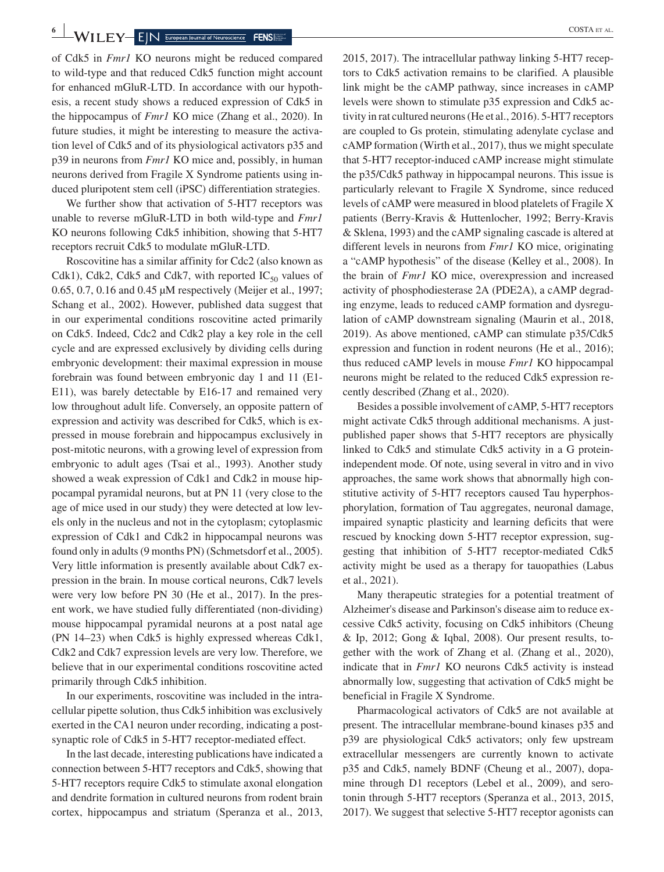**6 WILEY-EIN ELEY-EIN ELEY-EIN ELECTERS** 

of Cdk5 in *Fmr1* KO neurons might be reduced compared to wild-type and that reduced Cdk5 function might account for enhanced mGluR-LTD. In accordance with our hypothesis, a recent study shows a reduced expression of Cdk5 in the hippocampus of *Fmr1* KO mice (Zhang et al., 2020). In future studies, it might be interesting to measure the activation level of Cdk5 and of its physiological activators p35 and p39 in neurons from *Fmr1* KO mice and, possibly, in human neurons derived from Fragile X Syndrome patients using induced pluripotent stem cell (iPSC) differentiation strategies.

We further show that activation of 5-HT7 receptors was unable to reverse mGluR-LTD in both wild-type and *Fmr1* KO neurons following Cdk5 inhibition, showing that 5-HT7 receptors recruit Cdk5 to modulate mGluR-LTD.

Roscovitine has a similar affinity for Cdc2 (also known as Cdk1), Cdk2, Cdk5 and Cdk7, with reported  $IC_{50}$  values of 0.65, 0.7, 0.16 and 0.45 µM respectively (Meijer et al., 1997; Schang et al., 2002). However, published data suggest that in our experimental conditions roscovitine acted primarily on Cdk5. Indeed, Cdc2 and Cdk2 play a key role in the cell cycle and are expressed exclusively by dividing cells during embryonic development: their maximal expression in mouse forebrain was found between embryonic day 1 and 11 (E1- E11), was barely detectable by E16-17 and remained very low throughout adult life. Conversely, an opposite pattern of expression and activity was described for Cdk5, which is expressed in mouse forebrain and hippocampus exclusively in post-mitotic neurons, with a growing level of expression from embryonic to adult ages (Tsai et al., 1993). Another study showed a weak expression of Cdk1 and Cdk2 in mouse hippocampal pyramidal neurons, but at PN 11 (very close to the age of mice used in our study) they were detected at low levels only in the nucleus and not in the cytoplasm; cytoplasmic expression of Cdk1 and Cdk2 in hippocampal neurons was found only in adults (9 months PN) (Schmetsdorf et al., 2005). Very little information is presently available about Cdk7 expression in the brain. In mouse cortical neurons, Cdk7 levels were very low before PN 30 (He et al., 2017). In the present work, we have studied fully differentiated (non-dividing) mouse hippocampal pyramidal neurons at a post natal age (PN 14–23) when Cdk5 is highly expressed whereas Cdk1, Cdk2 and Cdk7 expression levels are very low. Therefore, we believe that in our experimental conditions roscovitine acted primarily through Cdk5 inhibition.

In our experiments, roscovitine was included in the intracellular pipette solution, thus Cdk5 inhibition was exclusively exerted in the CA1 neuron under recording, indicating a postsynaptic role of Cdk5 in 5-HT7 receptor-mediated effect.

In the last decade, interesting publications have indicated a connection between 5-HT7 receptors and Cdk5, showing that 5-HT7 receptors require Cdk5 to stimulate axonal elongation and dendrite formation in cultured neurons from rodent brain cortex, hippocampus and striatum (Speranza et al., 2013, 2015, 2017). The intracellular pathway linking 5-HT7 recep-

tors to Cdk5 activation remains to be clarified. A plausible link might be the cAMP pathway, since increases in cAMP levels were shown to stimulate p35 expression and Cdk5 activity in rat cultured neurons (He et al., 2016). 5-HT7 receptors are coupled to Gs protein, stimulating adenylate cyclase and cAMP formation (Wirth et al., 2017), thus we might speculate that 5-HT7 receptor-induced cAMP increase might stimulate the p35/Cdk5 pathway in hippocampal neurons. This issue is particularly relevant to Fragile X Syndrome, since reduced levels of cAMP were measured in blood platelets of Fragile X patients (Berry-Kravis & Huttenlocher, 1992; Berry-Kravis & Sklena, 1993) and the cAMP signaling cascade is altered at different levels in neurons from *Fmr1* KO mice, originating a "cAMP hypothesis" of the disease (Kelley et al., 2008). In the brain of *Fmr1* KO mice, overexpression and increased activity of phosphodiesterase 2A (PDE2A), a cAMP degrading enzyme, leads to reduced cAMP formation and dysregulation of cAMP downstream signaling (Maurin et al., 2018, 2019). As above mentioned, cAMP can stimulate p35/Cdk5 expression and function in rodent neurons (He et al., 2016); thus reduced cAMP levels in mouse *Fmr1* KO hippocampal neurons might be related to the reduced Cdk5 expression recently described (Zhang et al., 2020).

Besides a possible involvement of cAMP, 5-HT7 receptors might activate Cdk5 through additional mechanisms. A justpublished paper shows that 5-HT7 receptors are physically linked to Cdk5 and stimulate Cdk5 activity in a G proteinindependent mode. Of note, using several in vitro and in vivo approaches, the same work shows that abnormally high constitutive activity of 5-HT7 receptors caused Tau hyperphosphorylation, formation of Tau aggregates, neuronal damage, impaired synaptic plasticity and learning deficits that were rescued by knocking down 5-HT7 receptor expression, suggesting that inhibition of 5-HT7 receptor-mediated Cdk5 activity might be used as a therapy for tauopathies (Labus et al., 2021).

Many therapeutic strategies for a potential treatment of Alzheimer's disease and Parkinson's disease aim to reduce excessive Cdk5 activity, focusing on Cdk5 inhibitors (Cheung  $&$  Ip, 2012; Gong  $&$  Iqbal, 2008). Our present results, together with the work of Zhang et al. (Zhang et al., 2020), indicate that in *Fmr1* KO neurons Cdk5 activity is instead abnormally low, suggesting that activation of Cdk5 might be beneficial in Fragile X Syndrome.

Pharmacological activators of Cdk5 are not available at present. The intracellular membrane-bound kinases p35 and p39 are physiological Cdk5 activators; only few upstream extracellular messengers are currently known to activate p35 and Cdk5, namely BDNF (Cheung et al., 2007), dopamine through D1 receptors (Lebel et al., 2009), and serotonin through 5-HT7 receptors (Speranza et al., 2013, 2015, 2017). We suggest that selective 5-HT7 receptor agonists can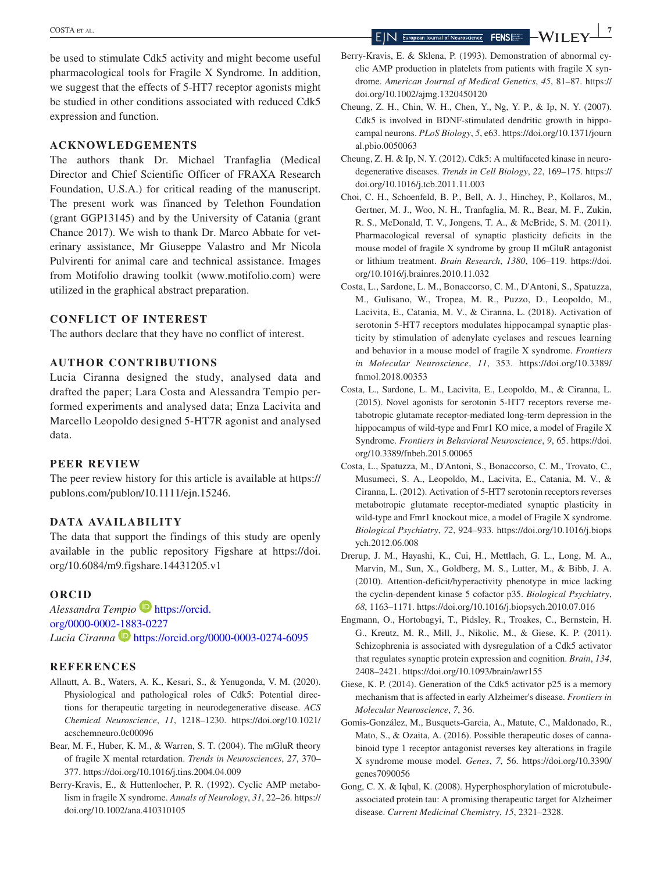be used to stimulate Cdk5 activity and might become useful pharmacological tools for Fragile X Syndrome. In addition, we suggest that the effects of 5-HT7 receptor agonists might be studied in other conditions associated with reduced Cdk5 expression and function.

#### **ACKNOWLEDGEMENTS**

The authors thank Dr. Michael Tranfaglia (Medical Director and Chief Scientific Officer of FRAXA Research Foundation, U.S.A.) for critical reading of the manuscript. The present work was financed by Telethon Foundation (grant GGP13145) and by the University of Catania (grant Chance 2017). We wish to thank Dr. Marco Abbate for veterinary assistance, Mr Giuseppe Valastro and Mr Nicola Pulvirenti for animal care and technical assistance. Images from Motifolio drawing toolkit [\(www.motifolio.com](http://www.motifolio.com)) were utilized in the graphical abstract preparation.

#### **CONFLICT OF INTEREST**

The authors declare that they have no conflict of interest.

## **AUTHOR CONTRIBUTIONS**

Lucia Ciranna designed the study, analysed data and drafted the paper; Lara Costa and Alessandra Tempio performed experiments and analysed data; Enza Lacivita and Marcello Leopoldo designed 5-HT7R agonist and analysed data.

#### **PEER REVIEW**

The peer review history for this article is available at [https://](https://publons.com/publon/10.1111/ejn.15246) [publons.com/publon/10.1111/ejn.15246.](https://publons.com/publon/10.1111/ejn.15246)

#### **DATA AVAILABILITY**

The data that support the findings of this study are openly available in the public repository Figshare at [https://doi.](https://doi.org/10.6084/m9.figshare.14431205.v1) [org/10.6084/m9.figshare.14431205.v1](https://doi.org/10.6084/m9.figshare.14431205.v1)

### **ORCID**

*Alessandra Tempio* [https://orcid.](https://orcid.org/0000-0002-1883-0227) [org/0000-0002-1883-0227](https://orcid.org/0000-0002-1883-0227) Lucia Ciranna<sup>D</sup> <https://orcid.org/0000-0003-0274-6095>

#### **REFERENCES**

- Allnutt, A. B., Waters, A. K., Kesari, S., & Yenugonda, V. M. (2020). Physiological and pathological roles of Cdk5: Potential directions for therapeutic targeting in neurodegenerative disease. *ACS Chemical Neuroscience*, *11*, 1218–1230. [https://doi.org/10.1021/](https://doi.org/10.1021/acschemneuro.0c00096) [acschemneuro.0c00096](https://doi.org/10.1021/acschemneuro.0c00096)
- Bear, M. F., Huber, K. M., & Warren, S. T. (2004). The mGluR theory of fragile X mental retardation. *Trends in Neurosciences*, *27*, 370– 377. <https://doi.org/10.1016/j.tins.2004.04.009>
- Berry-Kravis, E., & Huttenlocher, P. R. (1992). Cyclic AMP metabolism in fragile X syndrome. *Annals of Neurology*, *31*, 22–26. [https://](https://doi.org/10.1002/ana.410310105) [doi.org/10.1002/ana.410310105](https://doi.org/10.1002/ana.410310105)
- Berry-Kravis, E. & Sklena, P. (1993). Demonstration of abnormal cyclic AMP production in platelets from patients with fragile X syndrome. *American Journal of Medical Genetics*, *45*, 81–87. [https://](https://doi.org/10.1002/ajmg.1320450120) [doi.org/10.1002/ajmg.1320450120](https://doi.org/10.1002/ajmg.1320450120)
- Cheung, Z. H., Chin, W. H., Chen, Y., Ng, Y. P., & Ip, N. Y. (2007). Cdk5 is involved in BDNF-stimulated dendritic growth in hippocampal neurons. *PLoS Biology*, *5*, e63. [https://doi.org/10.1371/journ](https://doi.org/10.1371/journal.pbio.0050063) [al.pbio.0050063](https://doi.org/10.1371/journal.pbio.0050063)
- Cheung, Z. H. & Ip, N. Y. (2012). Cdk5: A multifaceted kinase in neurodegenerative diseases. *Trends in Cell Biology*, *22*, 169–175. [https://](https://doi.org/10.1016/j.tcb.2011.11.003) [doi.org/10.1016/j.tcb.2011.11.003](https://doi.org/10.1016/j.tcb.2011.11.003)
- Choi, C. H., Schoenfeld, B. P., Bell, A. J., Hinchey, P., Kollaros, M., Gertner, M. J., Woo, N. H., Tranfaglia, M. R., Bear, M. F., Zukin, R. S., McDonald, T. V., Jongens, T. A., & McBride, S. M. (2011). Pharmacological reversal of synaptic plasticity deficits in the mouse model of fragile X syndrome by group II mGluR antagonist or lithium treatment. *Brain Research*, *1380*, 106–119. [https://doi.](https://doi.org/10.1016/j.brainres.2010.11.032) [org/10.1016/j.brainres.2010.11.032](https://doi.org/10.1016/j.brainres.2010.11.032)
- Costa, L., Sardone, L. M., Bonaccorso, C. M., D'Antoni, S., Spatuzza, M., Gulisano, W., Tropea, M. R., Puzzo, D., Leopoldo, M., Lacivita, E., Catania, M. V., & Ciranna, L. (2018). Activation of serotonin 5-HT7 receptors modulates hippocampal synaptic plasticity by stimulation of adenylate cyclases and rescues learning and behavior in a mouse model of fragile X syndrome. *Frontiers in Molecular Neuroscience*, *11*, 353. [https://doi.org/10.3389/](https://doi.org/10.3389/fnmol.2018.00353) [fnmol.2018.00353](https://doi.org/10.3389/fnmol.2018.00353)
- Costa, L., Sardone, L. M., Lacivita, E., Leopoldo, M., & Ciranna, L. (2015). Novel agonists for serotonin 5-HT7 receptors reverse metabotropic glutamate receptor-mediated long-term depression in the hippocampus of wild-type and Fmr1 KO mice, a model of Fragile X Syndrome. *Frontiers in Behavioral Neuroscience*, *9*, 65. [https://doi.](https://doi.org/10.3389/fnbeh.2015.00065) [org/10.3389/fnbeh.2015.00065](https://doi.org/10.3389/fnbeh.2015.00065)
- Costa, L., Spatuzza, M., D'Antoni, S., Bonaccorso, C. M., Trovato, C., Musumeci, S. A., Leopoldo, M., Lacivita, E., Catania, M. V., & Ciranna, L. (2012). Activation of 5-HT7 serotonin receptors reverses metabotropic glutamate receptor-mediated synaptic plasticity in wild-type and Fmr1 knockout mice, a model of Fragile X syndrome. *Biological Psychiatry*, *72*, 924–933. [https://doi.org/10.1016/j.biops](https://doi.org/10.1016/j.biopsych.2012.06.008) [ych.2012.06.008](https://doi.org/10.1016/j.biopsych.2012.06.008)
- Drerup, J. M., Hayashi, K., Cui, H., Mettlach, G. L., Long, M. A., Marvin, M., Sun, X., Goldberg, M. S., Lutter, M., & Bibb, J. A. (2010). Attention-deficit/hyperactivity phenotype in mice lacking the cyclin-dependent kinase 5 cofactor p35. *Biological Psychiatry*, *68*, 1163–1171.<https://doi.org/10.1016/j.biopsych.2010.07.016>
- Engmann, O., Hortobagyi, T., Pidsley, R., Troakes, C., Bernstein, H. G., Kreutz, M. R., Mill, J., Nikolic, M., & Giese, K. P. (2011). Schizophrenia is associated with dysregulation of a Cdk5 activator that regulates synaptic protein expression and cognition. *Brain*, *134*, 2408–2421.<https://doi.org/10.1093/brain/awr155>
- Giese, K. P. (2014). Generation of the Cdk5 activator p25 is a memory mechanism that is affected in early Alzheimer's disease. *Frontiers in Molecular Neuroscience*, *7*, 36.
- Gomis-González, M., Busquets-Garcia, A., Matute, C., Maldonado, R., Mato, S., & Ozaita, A. (2016). Possible therapeutic doses of cannabinoid type 1 receptor antagonist reverses key alterations in fragile X syndrome mouse model. *Genes*, *7*, 56. [https://doi.org/10.3390/](https://doi.org/10.3390/genes7090056) [genes7090056](https://doi.org/10.3390/genes7090056)
- Gong, C. X. & Iqbal, K. (2008). Hyperphosphorylation of microtubuleassociated protein tau: A promising therapeutic target for Alzheimer disease. *Current Medicinal Chemistry*, *15*, 2321–2328.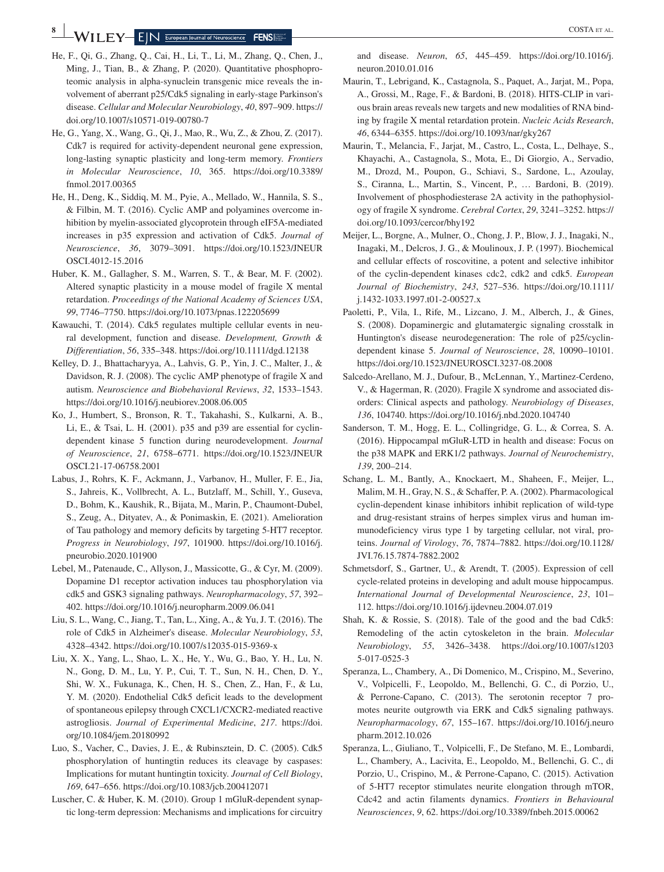$\mathbf{W}$  **| LEY**  $\mathbf{E}$  | N  $\frac{E_{\text{uropean Journal of Neuroscience}}}{E}$  **FENS** 

- He, F., Qi, G., Zhang, Q., Cai, H., Li, T., Li, M., Zhang, Q., Chen, J., Ming, J., Tian, B., & Zhang, P. (2020). Quantitative phosphoproteomic analysis in alpha-synuclein transgenic mice reveals the involvement of aberrant p25/Cdk5 signaling in early-stage Parkinson's disease. *Cellular and Molecular Neurobiology*, *40*, 897–909. [https://](https://doi.org/10.1007/s10571-019-00780-7) [doi.org/10.1007/s10571-019-00780-7](https://doi.org/10.1007/s10571-019-00780-7)
- He, G., Yang, X., Wang, G., Qi, J., Mao, R., Wu, Z., & Zhou, Z. (2017). Cdk7 is required for activity-dependent neuronal gene expression, long-lasting synaptic plasticity and long-term memory. *Frontiers in Molecular Neuroscience*, *10*, 365. [https://doi.org/10.3389/](https://doi.org/10.3389/fnmol.2017.00365) [fnmol.2017.00365](https://doi.org/10.3389/fnmol.2017.00365)
- He, H., Deng, K., Siddiq, M. M., Pyie, A., Mellado, W., Hannila, S. S., & Filbin, M. T. (2016). Cyclic AMP and polyamines overcome inhibition by myelin-associated glycoprotein through eIF5A-mediated increases in p35 expression and activation of Cdk5. *Journal of Neuroscience*, *36*, 3079–3091. [https://doi.org/10.1523/JNEUR](https://doi.org/10.1523/JNEUROSCI.4012-15.2016) [OSCI.4012-15.2016](https://doi.org/10.1523/JNEUROSCI.4012-15.2016)
- Huber, K. M., Gallagher, S. M., Warren, S. T., & Bear, M. F. (2002). Altered synaptic plasticity in a mouse model of fragile X mental retardation. *Proceedings of the National Academy of Sciences USA*, *99*, 7746–7750. <https://doi.org/10.1073/pnas.122205699>
- Kawauchi, T. (2014). Cdk5 regulates multiple cellular events in neural development, function and disease. *Development, Growth & Differentiation*, *56*, 335–348. <https://doi.org/10.1111/dgd.12138>
- Kelley, D. J., Bhattacharyya, A., Lahvis, G. P., Yin, J. C., Malter, J., & Davidson, R. J. (2008). The cyclic AMP phenotype of fragile X and autism. *Neuroscience and Biobehavioral Reviews*, *32*, 1533–1543. <https://doi.org/10.1016/j.neubiorev.2008.06.005>
- Ko, J., Humbert, S., Bronson, R. T., Takahashi, S., Kulkarni, A. B., Li, E., & Tsai, L. H. (2001). p35 and p39 are essential for cyclindependent kinase 5 function during neurodevelopment. *Journal of Neuroscience*, *21*, 6758–6771. [https://doi.org/10.1523/JNEUR](https://doi.org/10.1523/JNEUROSCI.21-17-06758.2001) [OSCI.21-17-06758.2001](https://doi.org/10.1523/JNEUROSCI.21-17-06758.2001)
- Labus, J., Rohrs, K. F., Ackmann, J., Varbanov, H., Muller, F. E., Jia, S., Jahreis, K., Vollbrecht, A. L., Butzlaff, M., Schill, Y., Guseva, D., Bohm, K., Kaushik, R., Bijata, M., Marin, P., Chaumont-Dubel, S., Zeug, A., Dityatev, A., & Ponimaskin, E. (2021). Amelioration of Tau pathology and memory deficits by targeting 5-HT7 receptor. *Progress in Neurobiology*, *197*, 101900. [https://doi.org/10.1016/j.](https://doi.org/10.1016/j.pneurobio.2020.101900) [pneurobio.2020.101900](https://doi.org/10.1016/j.pneurobio.2020.101900)
- Lebel, M., Patenaude, C., Allyson, J., Massicotte, G., & Cyr, M. (2009). Dopamine D1 receptor activation induces tau phosphorylation via cdk5 and GSK3 signaling pathways. *Neuropharmacology*, *57*, 392– 402.<https://doi.org/10.1016/j.neuropharm.2009.06.041>
- Liu, S. L., Wang, C., Jiang, T., Tan, L., Xing, A., & Yu, J. T. (2016). The role of Cdk5 in Alzheimer's disease. *Molecular Neurobiology*, *53*, 4328–4342. <https://doi.org/10.1007/s12035-015-9369-x>
- Liu, X. X., Yang, L., Shao, L. X., He, Y., Wu, G., Bao, Y. H., Lu, N. N., Gong, D. M., Lu, Y. P., Cui, T. T., Sun, N. H., Chen, D. Y., Shi, W. X., Fukunaga, K., Chen, H. S., Chen, Z., Han, F., & Lu, Y. M. (2020). Endothelial Cdk5 deficit leads to the development of spontaneous epilepsy through CXCL1/CXCR2-mediated reactive astrogliosis. *Journal of Experimental Medicine*, *217*. [https://doi.](https://doi.org/10.1084/jem.20180992) [org/10.1084/jem.20180992](https://doi.org/10.1084/jem.20180992)
- Luo, S., Vacher, C., Davies, J. E., & Rubinsztein, D. C. (2005). Cdk5 phosphorylation of huntingtin reduces its cleavage by caspases: Implications for mutant huntingtin toxicity. *Journal of Cell Biology*, *169*, 647–656.<https://doi.org/10.1083/jcb.200412071>
- Luscher, C. & Huber, K. M. (2010). Group 1 mGluR-dependent synaptic long-term depression: Mechanisms and implications for circuitry

and disease. *Neuron*, *65*, 445–459. [https://doi.org/10.1016/j.](https://doi.org/10.1016/j.neuron.2010.01.016) [neuron.2010.01.016](https://doi.org/10.1016/j.neuron.2010.01.016)

- Maurin, T., Lebrigand, K., Castagnola, S., Paquet, A., Jarjat, M., Popa, A., Grossi, M., Rage, F., & Bardoni, B. (2018). HITS-CLIP in various brain areas reveals new targets and new modalities of RNA binding by fragile X mental retardation protein. *Nucleic Acids Research*, *46*, 6344–6355. <https://doi.org/10.1093/nar/gky267>
- Maurin, T., Melancia, F., Jarjat, M., Castro, L., Costa, L., Delhaye, S., Khayachi, A., Castagnola, S., Mota, E., Di Giorgio, A., Servadio, M., Drozd, M., Poupon, G., Schiavi, S., Sardone, L., Azoulay, S., Ciranna, L., Martin, S., Vincent, P., … Bardoni, B. (2019). Involvement of phosphodiesterase 2A activity in the pathophysiology of fragile X syndrome. *Cerebral Cortex*, *29*, 3241–3252. [https://](https://doi.org/10.1093/cercor/bhy192) [doi.org/10.1093/cercor/bhy192](https://doi.org/10.1093/cercor/bhy192)
- Meijer, L., Borgne, A., Mulner, O., Chong, J. P., Blow, J. J., Inagaki, N., Inagaki, M., Delcros, J. G., & Moulinoux, J. P. (1997). Biochemical and cellular effects of roscovitine, a potent and selective inhibitor of the cyclin-dependent kinases cdc2, cdk2 and cdk5. *European Journal of Biochemistry*, *243*, 527–536. [https://doi.org/10.1111/](https://doi.org/10.1111/j.1432-1033.1997.t01-2-00527.x) [j.1432-1033.1997.t01-2-00527.x](https://doi.org/10.1111/j.1432-1033.1997.t01-2-00527.x)
- Paoletti, P., Vila, I., Rife, M., Lizcano, J. M., Alberch, J., & Gines, S. (2008). Dopaminergic and glutamatergic signaling crosstalk in Huntington's disease neurodegeneration: The role of p25/cyclindependent kinase 5. *Journal of Neuroscience*, *28*, 10090–10101. <https://doi.org/10.1523/JNEUROSCI.3237-08.2008>
- Salcedo-Arellano, M. J., Dufour, B., McLennan, Y., Martinez-Cerdeno, V., & Hagerman, R. (2020). Fragile X syndrome and associated disorders: Clinical aspects and pathology. *Neurobiology of Diseases*, *136*, 104740.<https://doi.org/10.1016/j.nbd.2020.104740>
- Sanderson, T. M., Hogg, E. L., Collingridge, G. L., & Correa, S. A. (2016). Hippocampal mGluR-LTD in health and disease: Focus on the p38 MAPK and ERK1/2 pathways. *Journal of Neurochemistry*, *139*, 200–214.
- Schang, L. M., Bantly, A., Knockaert, M., Shaheen, F., Meijer, L., Malim, M. H., Gray, N. S., & Schaffer, P. A. (2002). Pharmacological cyclin-dependent kinase inhibitors inhibit replication of wild-type and drug-resistant strains of herpes simplex virus and human immunodeficiency virus type 1 by targeting cellular, not viral, proteins. *Journal of Virology*, *76*, 7874–7882. [https://doi.org/10.1128/](https://doi.org/10.1128/JVI.76.15.7874-7882.2002) [JVI.76.15.7874-7882.2002](https://doi.org/10.1128/JVI.76.15.7874-7882.2002)
- Schmetsdorf, S., Gartner, U., & Arendt, T. (2005). Expression of cell cycle-related proteins in developing and adult mouse hippocampus. *International Journal of Developmental Neuroscience*, *23*, 101– 112. <https://doi.org/10.1016/j.ijdevneu.2004.07.019>
- Shah, K. & Rossie, S. (2018). Tale of the good and the bad Cdk5: Remodeling of the actin cytoskeleton in the brain. *Molecular Neurobiology*, *55*, 3426–3438. [https://doi.org/10.1007/s1203](https://doi.org/10.1007/s12035-017-0525-3) [5-017-0525-3](https://doi.org/10.1007/s12035-017-0525-3)
- Speranza, L., Chambery, A., Di Domenico, M., Crispino, M., Severino, V., Volpicelli, F., Leopoldo, M., Bellenchi, G. C., di Porzio, U., & Perrone-Capano, C. (2013). The serotonin receptor 7 promotes neurite outgrowth via ERK and Cdk5 signaling pathways. *Neuropharmacology*, *67*, 155–167. [https://doi.org/10.1016/j.neuro](https://doi.org/10.1016/j.neuropharm.2012.10.026) [pharm.2012.10.026](https://doi.org/10.1016/j.neuropharm.2012.10.026)
- Speranza, L., Giuliano, T., Volpicelli, F., De Stefano, M. E., Lombardi, L., Chambery, A., Lacivita, E., Leopoldo, M., Bellenchi, G. C., di Porzio, U., Crispino, M., & Perrone-Capano, C. (2015). Activation of 5-HT7 receptor stimulates neurite elongation through mTOR, Cdc42 and actin filaments dynamics. *Frontiers in Behavioural Neurosciences*, *9*, 62.<https://doi.org/10.3389/fnbeh.2015.00062>